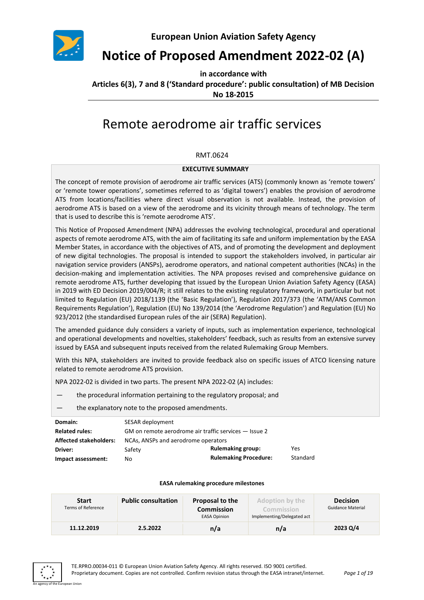

**European Union Aviation Safety Agency**

# **Notice of Proposed Amendment 2022-02 (A)**

**in accordance with Articles 6(3), 7 and 8 ('Standard procedure': public consultation) of MB Decision No 18-2015**

# Remote aerodrome air traffic services

#### RMT.0624

#### **EXECUTIVE SUMMARY**

The concept of remote provision of aerodrome air traffic services (ATS) (commonly known as 'remote towers' or 'remote tower operations', sometimes referred to as 'digital towers') enables the provision of aerodrome ATS from locations/facilities where direct visual observation is not available. Instead, the provision of aerodrome ATS is based on a view of the aerodrome and its vicinity through means of technology. The term that is used to describe this is 'remote aerodrome ATS'.

This Notice of Proposed Amendment (NPA) addresses the evolving technological, procedural and operational aspects of remote aerodrome ATS, with the aim of facilitating its safe and uniform implementation by the EASA Member States, in accordance with the objectives of ATS, and of promoting the development and deployment of new digital technologies. The proposal is intended to support the stakeholders involved, in particular air navigation service providers (ANSPs), aerodrome operators, and national competent authorities (NCAs) in the decision-making and implementation activities. The NPA proposes revised and comprehensive guidance on remote aerodrome ATS, further developing that issued by the European Union Aviation Safety Agency (EASA) in 2019 with ED Decision 2019/004/R; it still relates to the existing regulatory framework, in particular but not limited to Regulation (EU) 2018/1139 (the 'Basic Regulation'), Regulation 2017/373 (the 'ATM/ANS Common Requirements Regulation'), Regulation (EU) No 139/2014 (the 'Aerodrome Regulation') and Regulation (EU) No 923/2012 (the standardised European rules of the air (SERA) Regulation).

The amended guidance duly considers a variety of inputs, such as implementation experience, technological and operational developments and novelties, stakeholders' feedback, such as results from an extensive survey issued by EASA and subsequent inputs received from the related Rulemaking Group Members.

With this NPA, stakeholders are invited to provide feedback also on specific issues of ATCO licensing nature related to remote aerodrome ATS provision.

NPA 2022-02 is divided in two parts. The present NPA 2022-02 (A) includes:

- the procedural information pertaining to the regulatory proposal; and
- the explanatory note to the proposed amendments.

| Domain:                       | SESAR deployment                                      |                              |          |
|-------------------------------|-------------------------------------------------------|------------------------------|----------|
| <b>Related rules:</b>         | GM on remote aerodrome air traffic services – Issue 2 |                              |          |
| <b>Affected stakeholders:</b> | NCAs, ANSPs and aerodrome operators                   |                              |          |
| Driver:                       | Safety                                                | <b>Rulemaking group:</b>     | Yes      |
| Impact assessment:            | No                                                    | <b>Rulemaking Procedure:</b> | Standard |

#### **EASA rulemaking procedure milestones**

| <b>Start</b><br><b>Terms of Reference</b> | <b>Public consultation</b> | <b>Proposal to the</b><br>Commission<br><b>EASA Opinion</b> | <b>Adoption by the</b><br><b>Commission</b><br>Implementing/Delegated act | <b>Decision</b><br><b>Guidance Material</b> |
|-------------------------------------------|----------------------------|-------------------------------------------------------------|---------------------------------------------------------------------------|---------------------------------------------|
| 11.12.2019                                | 2.5.2022                   | n/a                                                         | n/a                                                                       | 2023 Q/4                                    |

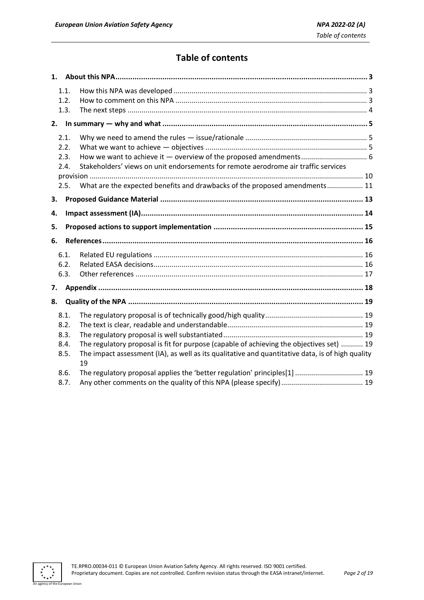## **Table of contents**

| 1.1.<br>1.2.<br>1.3.                 |                                                                                                                                                                                              |
|--------------------------------------|----------------------------------------------------------------------------------------------------------------------------------------------------------------------------------------------|
|                                      |                                                                                                                                                                                              |
| 2.1.<br>2.2.<br>2.3.<br>2.4.<br>2.5. | Stakeholders' views on unit endorsements for remote aerodrome air traffic services<br>What are the expected benefits and drawbacks of the proposed amendments 11                             |
| 3.                                   |                                                                                                                                                                                              |
| 4.                                   |                                                                                                                                                                                              |
| 5.                                   |                                                                                                                                                                                              |
| 6.                                   |                                                                                                                                                                                              |
| 6.1.<br>6.2.<br>6.3.                 |                                                                                                                                                                                              |
| 7.                                   |                                                                                                                                                                                              |
| 8.                                   |                                                                                                                                                                                              |
| 8.1.<br>8.2.<br>8.3.<br>8.4.<br>8.5. | The regulatory proposal is fit for purpose (capable of achieving the objectives set)  19<br>The impact assessment (IA), as well as its qualitative and quantitative data, is of high quality |
|                                      | 19                                                                                                                                                                                           |

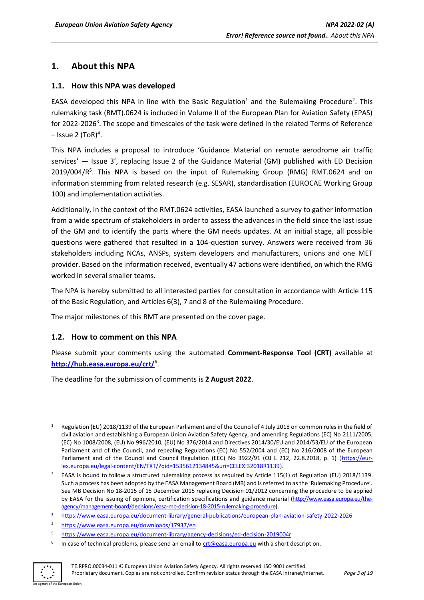### <span id="page-2-0"></span>**1. About this NPA**

### <span id="page-2-1"></span>**1.1. How this NPA was developed**

EASA developed this NPA in line with the Basic Regulation<sup>1</sup> and the Rulemaking Procedure<sup>2</sup>. This rulemaking task (RMT).0624 is included in Volume II of the European Plan for Aviation Safety (EPAS) for 2022-2026<sup>3</sup>. The scope and timescales of the task were defined in the related Terms of Reference  $-$  Issue 2 (ToR)<sup>4</sup>.

This NPA includes a proposal to introduce 'Guidance Material on remote aerodrome air traffic services' — Issue 3', replacing Issue 2 of the Guidance Material (GM) published with ED Decision 2019/004/R<sup>5</sup>. This NPA is based on the input of Rulemaking Group (RMG) RMT.0624 and on information stemming from related research (e.g. SESAR), standardisation (EUROCAE Working Group 100) and implementation activities.

Additionally, in the context of the RMT.0624 activities, EASA launched a survey to gather information from a wide spectrum of stakeholders in order to assess the advances in the field since the last issue of the GM and to identify the parts where the GM needs updates. At an initial stage, all possible questions were gathered that resulted in a 104-question survey. Answers were received from 36 stakeholders including NCAs, ANSPs, system developers and manufacturers, unions and one MET provider. Based on the information received, eventually 47 actions were identified, on which the RMG worked in several smaller teams.

The NPA is hereby submitted to all interested parties for consultation in accordance with Article 115 of the Basic Regulation, and Articles 6(3), 7 and 8 of the Rulemaking Procedure.

The major milestones of this RMT are presented on the cover page.

#### <span id="page-2-2"></span>**1.2. How to comment on this NPA**

Please submit your comments using the automated **Comment-Response Tool (CRT)** available at **<http://hub.easa.europa.eu/crt/>**<sup>6</sup> .

The deadline for the submission of comments is **2 August 2022**.

<sup>6</sup> In case of technical problems, please send an email to [crt@easa.europa.eu](mailto:crt@easa.europa.eu) with a short description.



Regulation (EU) 2018/1139 of the European Parliament and of the Council of 4 July 2018 on common rules in the field of civil aviation and establishing a European Union Aviation Safety Agency, and amending Regulations (EC) No 2111/2005, (EC) No 1008/2008, (EU) No 996/2010, (EU) No 376/2014 and Directives 2014/30/EU and 2014/53/EU of the European Parliament and of the Council, and repealing Regulations (EC) No 552/2004 and (EC) No 216/2008 of the European Parliament and of the Council and Council Regulation (EEC) No 3922/91 (OJ L 212, 22.8.2018, p. 1) [\(https://eur](https://eur-lex.europa.eu/legal-content/EN/TXT/?qid=1535612134845&uri=CELEX:32018R1139)[lex.europa.eu/legal-content/EN/TXT/?qid=1535612134845&uri=CELEX:32018R1139\)](https://eur-lex.europa.eu/legal-content/EN/TXT/?qid=1535612134845&uri=CELEX:32018R1139).

<sup>&</sup>lt;sup>2</sup> EASA is bound to follow a structured rulemaking process as required by Article 115(1) of Regulation (EU) 2018/1139. Such a process has been adopted by the EASA Management Board (MB) and is referred to as the 'Rulemaking Procedure'. See MB Decision No 18-2015 of 15 December 2015 replacing Decision 01/2012 concerning the procedure to be applied by EASA for the issuing of opinions, certification specifications and guidance material [\(http://www.easa.europa.eu/the](http://www.easa.europa.eu/the-agency/management-board/decisions/easa-mb-decision-18-2015-rulemaking-procedure)[agency/management-board/decisions/easa-mb-decision-18-2015-rulemaking-procedure\)](http://www.easa.europa.eu/the-agency/management-board/decisions/easa-mb-decision-18-2015-rulemaking-procedure).

<sup>3</sup> <https://www.easa.europa.eu/document-library/general-publications/european-plan-aviation-safety-2022-2026>

<sup>4</sup> <https://www.easa.europa.eu/downloads/17937/en>

<sup>5</sup> https://www.easa.europa.eu/document-library/agency-decisions/ed-decision-2019004r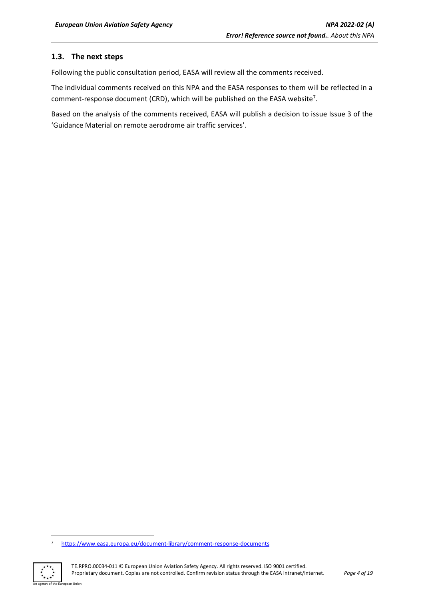### <span id="page-3-0"></span>**1.3. The next steps**

Following the public consultation period, EASA will review all the comments received.

The individual comments received on this NPA and the EASA responses to them will be reflected in a comment-response document (CRD), which will be published on the EASA website<sup>7</sup>.

Based on the analysis of the comments received, EASA will publish a decision to issue Issue 3 of the 'Guidance Material on remote aerodrome air traffic services'.

<sup>7</sup> <https://www.easa.europa.eu/document-library/comment-response-documents>

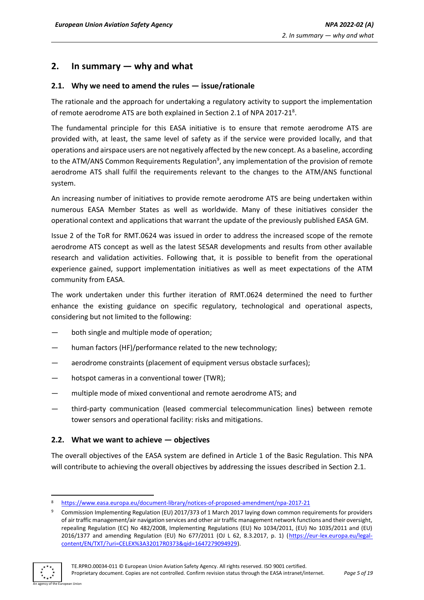### <span id="page-4-0"></span>**2. In summary — why and what**

### <span id="page-4-1"></span>**2.1. Why we need to amend the rules — issue/rationale**

The rationale and the approach for undertaking a regulatory activity to support the implementation of remote aerodrome ATS are both explained in Section 2.1 of NPA 2017-21<sup>8</sup>.

The fundamental principle for this EASA initiative is to ensure that remote aerodrome ATS are provided with, at least, the same level of safety as if the service were provided locally, and that operations and airspace users are not negatively affected by the new concept. As a baseline, according to the ATM/ANS Common Requirements Regulation<sup>9</sup>, any implementation of the provision of remote aerodrome ATS shall fulfil the requirements relevant to the changes to the ATM/ANS functional system.

An increasing number of initiatives to provide remote aerodrome ATS are being undertaken within numerous EASA Member States as well as worldwide. Many of these initiatives consider the operational context and applications that warrant the update of the previously published EASA GM.

Issue 2 of the ToR for RMT.0624 was issued in order to address the increased scope of the remote aerodrome ATS concept as well as the latest SESAR developments and results from other available research and validation activities. Following that, it is possible to benefit from the operational experience gained, support implementation initiatives as well as meet expectations of the ATM community from EASA.

The work undertaken under this further iteration of RMT.0624 determined the need to further enhance the existing guidance on specific regulatory, technological and operational aspects, considering but not limited to the following:

- both single and multiple mode of operation;
- human factors (HF)/performance related to the new technology;
- aerodrome constraints (placement of equipment versus obstacle surfaces);
- hotspot cameras in a conventional tower (TWR);
- multiple mode of mixed conventional and remote aerodrome ATS; and
- third-party communication (leased commercial telecommunication lines) between remote tower sensors and operational facility: risks and mitigations.

#### <span id="page-4-2"></span>**2.2. What we want to achieve — objectives**

The overall objectives of the EASA system are defined in Article 1 of the Basic Regulation. This NPA will contribute to achieving the overall objectives by addressing the issues described in Section 2.1.

<sup>9</sup> Commission Implementing Regulation (EU) 2017/373 of 1 March 2017 laying down common requirements for providers of air traffic management/air navigation services and other air traffic management network functions and their oversight, repealing Regulation (EC) No 482/2008, Implementing Regulations (EU) No 1034/2011, (EU) No 1035/2011 and (EU) 2016/1377 and amending Regulation (EU) No 677/2011 (OJ L 62, 8.3.2017, p. 1) [\(https://eur-lex.europa.eu/legal](https://eur-lex.europa.eu/legal-content/EN/TXT/?uri=CELEX%3A32017R0373&qid=1647279094929)[content/EN/TXT/?uri=CELEX%3A32017R0373&qid=1647279094929\)](https://eur-lex.europa.eu/legal-content/EN/TXT/?uri=CELEX%3A32017R0373&qid=1647279094929).



<sup>8</sup> <https://www.easa.europa.eu/document-library/notices-of-proposed-amendment/npa-2017-21>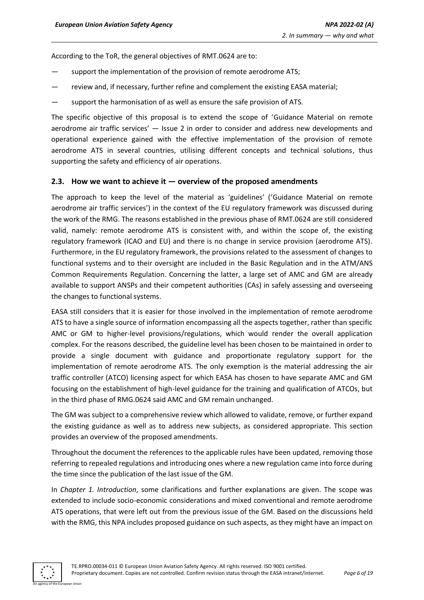According to the ToR, the general objectives of RMT.0624 are to:

- support the implementation of the provision of remote aerodrome ATS;
- review and, if necessary, further refine and complement the existing EASA material;
- support the harmonisation of as well as ensure the safe provision of ATS.

The specific objective of this proposal is to extend the scope of 'Guidance Material on remote aerodrome air traffic services' — Issue 2 in order to consider and address new developments and operational experience gained with the effective implementation of the provision of remote aerodrome ATS in several countries, utilising different concepts and technical solutions, thus supporting the safety and efficiency of air operations.

#### <span id="page-5-0"></span>**2.3. How we want to achieve it — overview of the proposed amendments**

The approach to keep the level of the material as 'guidelines' ('Guidance Material on remote aerodrome air traffic services') in the context of the EU regulatory framework was discussed during the work of the RMG. The reasons established in the previous phase of RMT.0624 are still considered valid, namely: remote aerodrome ATS is consistent with, and within the scope of, the existing regulatory framework (ICAO and EU) and there is no change in service provision (aerodrome ATS). Furthermore, in the EU regulatory framework, the provisions related to the assessment of changes to functional systems and to their oversight are included in the Basic Regulation and in the ATM/ANS Common Requirements Regulation. Concerning the latter, a large set of AMC and GM are already available to support ANSPs and their competent authorities (CAs) in safely assessing and overseeing the changes to functional systems.

EASA still considers that it is easier for those involved in the implementation of remote aerodrome ATS to have a single source of information encompassing all the aspects together, rather than specific AMC or GM to higher-level provisions/regulations, which would render the overall application complex. For the reasons described, the guideline level has been chosen to be maintained in order to provide a single document with guidance and proportionate regulatory support for the implementation of remote aerodrome ATS. The only exemption is the material addressing the air traffic controller (ATCO) licensing aspect for which EASA has chosen to have separate AMC and GM focusing on the establishment of high-level guidance for the training and qualification of ATCOs, but in the third phase of RMG.0624 said AMC and GM remain unchanged.

The GM was subject to a comprehensive review which allowed to validate, remove, or further expand the existing guidance as well as to address new subjects, as considered appropriate. This section provides an overview of the proposed amendments.

Throughout the document the references to the applicable rules have been updated, removing those referring to repealed regulations and introducing ones where a new regulation came into force during the time since the publication of the last issue of the GM.

In *Chapter 1. Introduction*, some clarifications and further explanations are given. The scope was extended to include socio-economic considerations and mixed conventional and remote aerodrome ATS operations, that were left out from the previous issue of the GM. Based on the discussions held with the RMG, this NPA includes proposed guidance on such aspects, as they might have an impact on

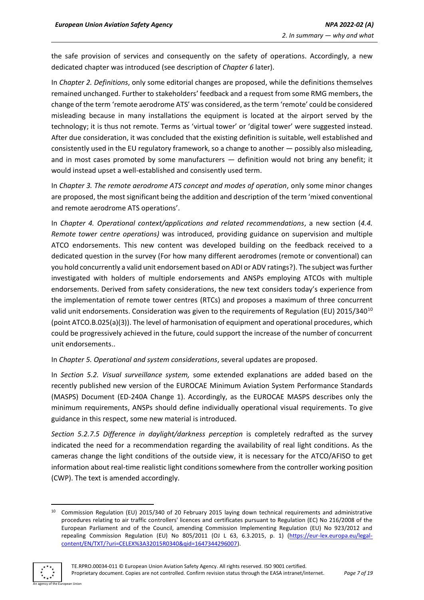the safe provision of services and consequently on the safety of operations. Accordingly, a new dedicated chapter was introduced (see description of *Chapter 6* later).

In *Chapter 2. Definitions*, only some editorial changes are proposed, while the definitions themselves remained unchanged. Further to stakeholders' feedback and a request from some RMG members, the change of the term 'remote aerodrome ATS' was considered, as the term 'remote' could be considered misleading because in many installations the equipment is located at the airport served by the technology; it is thus not remote. Terms as 'virtual tower' or 'digital tower' were suggested instead. After due consideration, it was concluded that the existing definition is suitable, well established and consistently used in the EU regulatory framework, so a change to another — possibly also misleading, and in most cases promoted by some manufacturers - definition would not bring any benefit; it would instead upset a well-established and consisently used term.

In *Chapter 3. The remote aerodrome ATS concept and modes of operation*, only some minor changes are proposed, the most significant being the addition and description of the term 'mixed conventional and remote aerodrome ATS operations'.

In *Chapter 4. Operational context/applications and related recommendations*, a new section (*4.4. Remote tower centre operations)* was introduced, providing guidance on supervision and multiple ATCO endorsements. This new content was developed building on the feedback received to a dedicated question in the survey (For how many different aerodromes (remote or conventional) can you hold concurrently a valid unit endorsement based on ADI or ADV ratings?). The subject wasfurther investigated with holders of multiple endorsements and ANSPs employing ATCOs with multiple endorsements. Derived from safety considerations, the new text considers today's experience from the implementation of remote tower centres (RTCs) and proposes a maximum of three concurrent valid unit endorsements. Consideration was given to the requirements of Regulation (EU) 2015/340<sup>10</sup> (point ATCO.B.025(a)(3)). The level of harmonisation of equipment and operational procedures, which could be progressively achieved in the future, could support the increase of the number of concurrent unit endorsements..

In *Chapter 5. Operational and system considerations*, several updates are proposed.

In *Section 5.2. Visual surveillance system,* some extended explanations are added based on the recently published new version of the EUROCAE Minimum Aviation System Performance Standards (MASPS) Document (ED-240A Change 1). Accordingly, as the EUROCAE MASPS describes only the minimum requirements, ANSPs should define individually operational visual requirements. To give guidance in this respect, some new material is introduced.

*Section 5.2.7.5 Difference in daylight/darkness perception* is completely redrafted as the survey indicated the need for a recommendation regarding the availability of real light conditions. As the cameras change the light conditions of the outside view, it is necessary for the ATCO/AFISO to get information about real-time realistic light conditions somewhere from the controller working position (CWP). The text is amended accordingly.

<sup>&</sup>lt;sup>10</sup> Commission Regulation (EU) 2015/340 of 20 February 2015 laying down technical requirements and administrative procedures relating to air traffic controllers' licences and certificates pursuant to Regulation (EC) No 216/2008 of the European Parliament and of the Council, amending Commission Implementing Regulation (EU) No 923/2012 and repealing Commission Regulation (EU) No 805/2011 (OJ L 63, 6.3.2015, p. 1) [\(https://eur-lex.europa.eu/legal](https://eur-lex.europa.eu/legal-content/EN/TXT/?uri=CELEX%3A32015R0340&qid=1647344296007)[content/EN/TXT/?uri=CELEX%3A32015R0340&qid=1647344296007\)](https://eur-lex.europa.eu/legal-content/EN/TXT/?uri=CELEX%3A32015R0340&qid=1647344296007).

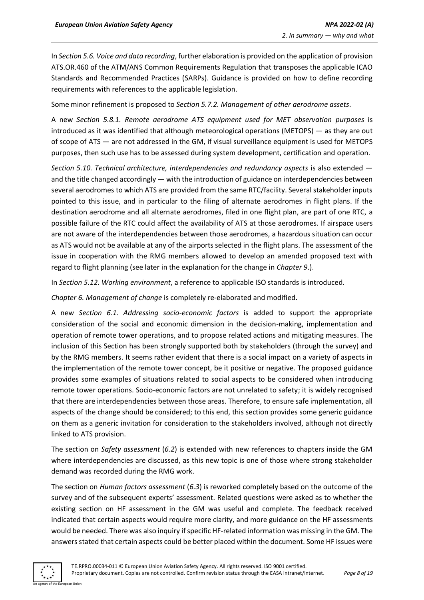In *Section 5.6. Voice and data recording*, further elaboration is provided on the application of provision ATS.OR.460 of the ATM/ANS Common Requirements Regulation that transposes the applicable ICAO Standards and Recommended Practices (SARPs). Guidance is provided on how to define recording requirements with references to the applicable legislation.

Some minor refinement is proposed to *Section 5.7.2. Management of other aerodrome assets*.

A new *Section 5.8.1. Remote aerodrome ATS equipment used for MET observation purposes* is introduced as it was identified that although meteorological operations (METOPS) — as they are out of scope of ATS — are not addressed in the GM, if visual surveillance equipment is used for METOPS purposes, then such use has to be assessed during system development, certification and operation.

*Section 5.10. Technical architecture, interdependencies and redundancy aspects* is also extended and the title changed accordingly — with the introduction of guidance on interdependencies between several aerodromes to which ATS are provided from the same RTC/facility. Several stakeholder inputs pointed to this issue, and in particular to the filing of alternate aerodromes in flight plans. If the destination aerodrome and all alternate aerodromes, filed in one flight plan, are part of one RTC, a possible failure of the RTC could affect the availability of ATS at those aerodromes. If airspace users are not aware of the interdependencies between those aerodromes, a hazardous situation can occur as ATS would not be available at any of the airports selected in the flight plans. The assessment of the issue in cooperation with the RMG members allowed to develop an amended proposed text with regard to flight planning (see later in the explanation for the change in *Chapter 9*.).

In *Section 5.12. Working environment*, a reference to applicable ISO standards is introduced.

*Chapter 6. Management of change* is completely re-elaborated and modified.

A new *Section 6.1. Addressing socio-economic factors* is added to support the appropriate consideration of the social and economic dimension in the decision-making, implementation and operation of remote tower operations, and to propose related actions and mitigating measures. The inclusion of this Section has been strongly supported both by stakeholders (through the survey) and by the RMG members. It seems rather evident that there is a social impact on a variety of aspects in the implementation of the remote tower concept, be it positive or negative. The proposed guidance provides some examples of situations related to social aspects to be considered when introducing remote tower operations. Socio-economic factors are not unrelated to safety; it is widely recognised that there are interdependencies between those areas. Therefore, to ensure safe implementation, all aspects of the change should be considered; to this end, this section provides some generic guidance on them as a generic invitation for consideration to the stakeholders involved, although not directly linked to ATS provision.

The section on *Safety assessment* (*6.2*) is extended with new references to chapters inside the GM where interdependencies are discussed, as this new topic is one of those where strong stakeholder demand was recorded during the RMG work.

The section on *Human factors assessment* (*6.3*) is reworked completely based on the outcome of the survey and of the subsequent experts' assessment. Related questions were asked as to whether the existing section on HF assessment in the GM was useful and complete. The feedback received indicated that certain aspects would require more clarity, and more guidance on the HF assessments would be needed. There was also inquiry if specific HF-related information was missing in the GM. The answers stated that certain aspects could be better placed within the document. Some HF issues were

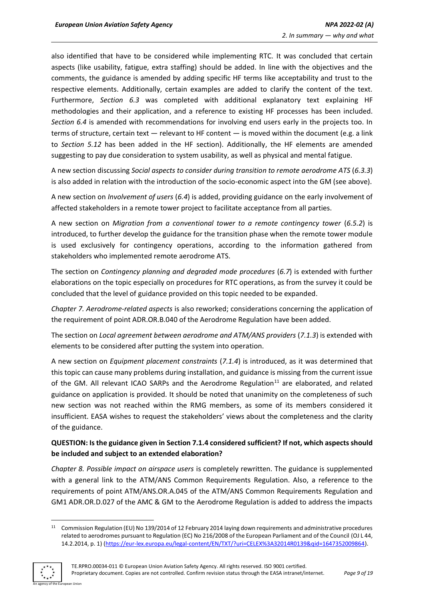also identified that have to be considered while implementing RTC. It was concluded that certain aspects (like usability, fatigue, extra staffing) should be added. In line with the objectives and the comments, the guidance is amended by adding specific HF terms like acceptability and trust to the respective elements. Additionally, certain examples are added to clarify the content of the text. Furthermore, *Section 6.3* was completed with additional explanatory text explaining HF methodologies and their application, and a reference to existing HF processes has been included. *Section 6.4* is amended with recommendations for involving end users early in the projects too. In terms of structure, certain text — relevant to HF content — is moved within the document (e.g. a link to *Section 5.12* has been added in the HF section). Additionally, the HF elements are amended suggesting to pay due consideration to system usability, as well as physical and mental fatigue.

A new section discussing *Social aspects to consider during transition to remote aerodrome ATS* (*6.3.3*) is also added in relation with the introduction of the socio-economic aspect into the GM (see above).

A new section on *Involvement of users* (*6.4*) is added, providing guidance on the early involvement of affected stakeholders in a remote tower project to facilitate acceptance from all parties.

A new section on *Migration from a conventional tower to a remote contingency tower* (*6.5.2*) is introduced, to further develop the guidance for the transition phase when the remote tower module is used exclusively for contingency operations, according to the information gathered from stakeholders who implemented remote aerodrome ATS.

The section on *Contingency planning and degraded mode procedures* (*6.7*) is extended with further elaborations on the topic especially on procedures for RTC operations, as from the survey it could be concluded that the level of guidance provided on this topic needed to be expanded.

*Chapter 7. Aerodrome-related aspects* is also reworked; considerations concerning the application of the requirement of point ADR.OR.B.040 of the Aerodrome Regulation have been added.

The section on *Local agreement between aerodrome and ATM/ANS providers* (*7.1.3*) is extended with elements to be considered after putting the system into operation.

A new section on *Equipment placement constraints* (*7.1.4*) is introduced, as it was determined that this topic can cause many problems during installation, and guidance is missing from the current issue of the GM. All relevant ICAO SARPs and the Aerodrome Regulation<sup>11</sup> are elaborated, and related guidance on application is provided. It should be noted that unanimity on the completeness of such new section was not reached within the RMG members, as some of its members considered it insufficient. EASA wishes to request the stakeholders' views about the completeness and the clarity of the guidance.

### **QUESTION: Is the guidance given in Section 7.1.4 considered sufficient? If not, which aspects should be included and subject to an extended elaboration?**

*Chapter 8. Possible impact on airspace users* is completely rewritten. The guidance is supplemented with a general link to the ATM/ANS Common Requirements Regulation. Also, a reference to the requirements of point ATM/ANS.OR.A.045 of the ATM/ANS Common Requirements Regulation and GM1 ADR.OR.D.027 of the AMC & GM to the Aerodrome Regulation is added to address the impacts

<sup>11</sup> Commission Regulation (EU) No 139/2014 of 12 February 2014 laying down requirements and administrative procedures related to aerodromes pursuant to Regulation (EC) No 216/2008 of the European Parliament and of the Council (OJ L 44, 14.2.2014, p. 1) [\(https://eur-lex.europa.eu/legal-content/EN/TXT/?uri=CELEX%3A32014R0139&qid=1647352009864\)](https://eur-lex.europa.eu/legal-content/EN/TXT/?uri=CELEX%3A32014R0139&qid=1647352009864).

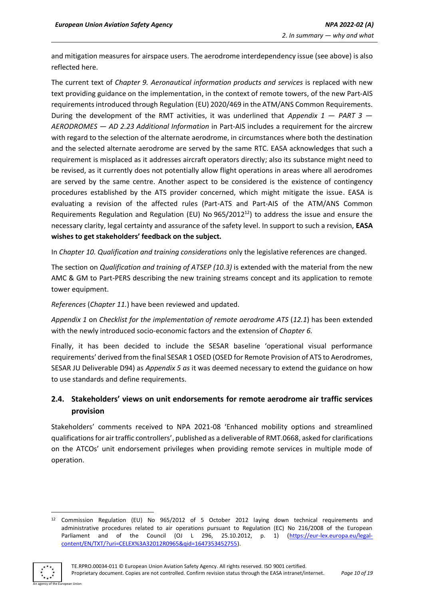and mitigation measures for airspace users. The aerodrome interdependency issue (see above) is also reflected here.

The current text of *Chapter 9. Aeronautical information products and services* is replaced with new text providing guidance on the implementation, in the context of remote towers, of the new Part-AIS requirements introduced through Regulation (EU) 2020/469 in the ATM/ANS Common Requirements. During the development of the RMT activities, it was underlined that *Appendix 1 — PART 3 — AERODROMES — AD 2.23 Additional Information* in Part-AIS includes a requirement for the aircrew with regard to the selection of the alternate aerodrome, in circumstances where both the destination and the selected alternate aerodrome are served by the same RTC. EASA acknowledges that such a requirement is misplaced as it addresses aircraft operators directly; also its substance might need to be revised, as it currently does not potentially allow flight operations in areas where all aerodromes are served by the same centre. Another aspect to be considered is the existence of contingency procedures established by the ATS provider concerned, which might mitigate the issue. EASA is evaluating a revision of the affected rules (Part-ATS and Part-AIS of the ATM/ANS Common Requirements Regulation and Regulation (EU) No  $965/2012^{12}$  to address the issue and ensure the necessary clarity, legal certainty and assurance of the safety level. In support to such a revision, **EASA wishes to get stakeholders' feedback on the subject.**

In *Chapter 10. Qualification and training considerations* only the legislative references are changed.

The section on *Qualification and training of ATSEP (10.3)* is extended with the material from the new AMC & GM to Part-PERS describing the new training streams concept and its application to remote tower equipment.

*References* (*Chapter 11.*) have been reviewed and updated.

*Appendix 1* on *Checklist for the implementation of remote aerodrome ATS* (*12.1*) has been extended with the newly introduced socio-economic factors and the extension of *Chapter 6.*

Finally, it has been decided to include the SESAR baseline 'operational visual performance requirements' derived from the final SESAR 1 OSED (OSED for Remote Provision of ATS to Aerodromes, SESAR JU Deliverable D94) as *Appendix 5 as* it was deemed necessary to extend the guidance on how to use standards and define requirements.

### <span id="page-9-0"></span>**2.4. Stakeholders' views on unit endorsements for remote aerodrome air traffic services provision**

Stakeholders' comments received to NPA 2021-08 'Enhanced mobility options and streamlined qualifications for air traffic controllers', published as a deliverable of RMT.0668, asked for clarifications on the ATCOs' unit endorsement privileges when providing remote services in multiple mode of operation.

<sup>12</sup> Commission Regulation (EU) No 965/2012 of 5 October 2012 laying down technical requirements and administrative procedures related to air operations pursuant to Regulation (EC) No 216/2008 of the European Parliament and of the Council (OJ L 296, 25.10.2012, p. 1) [\(https://eur-lex.europa.eu/legal](https://eur-lex.europa.eu/legal-content/EN/TXT/?uri=CELEX%3A32012R0965&qid=1647353452755)[content/EN/TXT/?uri=CELEX%3A32012R0965&qid=1647353452755\)](https://eur-lex.europa.eu/legal-content/EN/TXT/?uri=CELEX%3A32012R0965&qid=1647353452755).

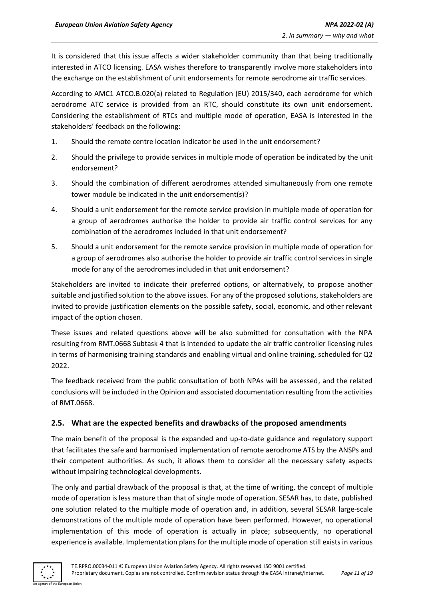It is considered that this issue affects a wider stakeholder community than that being traditionally interested in ATCO licensing. EASA wishes therefore to transparently involve more stakeholders into the exchange on the establishment of unit endorsements for remote aerodrome air traffic services.

According to AMC1 ATCO.B.020(a) related to Regulation (EU) 2015/340, each aerodrome for which aerodrome ATC service is provided from an RTC, should constitute its own unit endorsement. Considering the establishment of RTCs and multiple mode of operation, EASA is interested in the stakeholders' feedback on the following:

- 1. Should the remote centre location indicator be used in the unit endorsement?
- 2. Should the privilege to provide services in multiple mode of operation be indicated by the unit endorsement?
- 3. Should the combination of different aerodromes attended simultaneously from one remote tower module be indicated in the unit endorsement(s)?
- 4. Should a unit endorsement for the remote service provision in multiple mode of operation for a group of aerodromes authorise the holder to provide air traffic control services for any combination of the aerodromes included in that unit endorsement?
- 5. Should a unit endorsement for the remote service provision in multiple mode of operation for a group of aerodromes also authorise the holder to provide air traffic control services in single mode for any of the aerodromes included in that unit endorsement?

Stakeholders are invited to indicate their preferred options, or alternatively, to propose another suitable and justified solution to the above issues. For any of the proposed solutions, stakeholders are invited to provide justification elements on the possible safety, social, economic, and other relevant impact of the option chosen.

These issues and related questions above will be also submitted for consultation with the NPA resulting from RMT.0668 Subtask 4 that is intended to update the air traffic controller licensing rules in terms of harmonising training standards and enabling virtual and online training, scheduled for Q2 2022.

The feedback received from the public consultation of both NPAs will be assessed, and the related conclusions will be included in the Opinion and associated documentation resulting from the activities of RMT.0668.

#### <span id="page-10-0"></span>**2.5. What are the expected benefits and drawbacks of the proposed amendments**

The main benefit of the proposal is the expanded and up-to-date guidance and regulatory support that facilitates the safe and harmonised implementation of remote aerodrome ATS by the ANSPs and their competent authorities. As such, it allows them to consider all the necessary safety aspects without impairing technological developments.

The only and partial drawback of the proposal is that, at the time of writing, the concept of multiple mode of operation is less mature than that of single mode of operation. SESAR has, to date, published one solution related to the multiple mode of operation and, in addition, several SESAR large-scale demonstrations of the multiple mode of operation have been performed. However, no operational implementation of this mode of operation is actually in place; subsequently, no operational experience is available. Implementation plans for the multiple mode of operation still exists in various

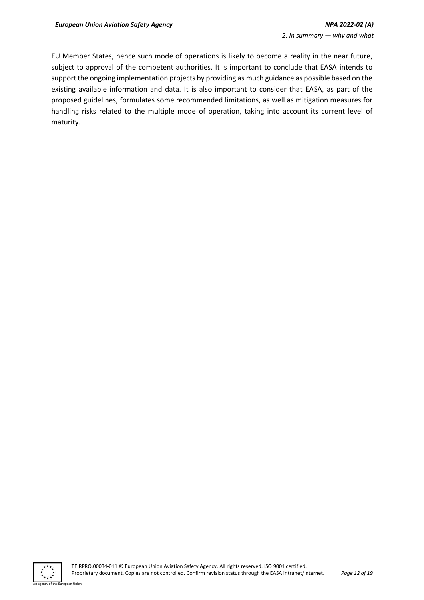EU Member States, hence such mode of operations is likely to become a reality in the near future, subject to approval of the competent authorities. It is important to conclude that EASA intends to support the ongoing implementation projects by providing as much guidance as possible based on the existing available information and data. It is also important to consider that EASA, as part of the proposed guidelines, formulates some recommended limitations, as well as mitigation measures for handling risks related to the multiple mode of operation, taking into account its current level of maturity.

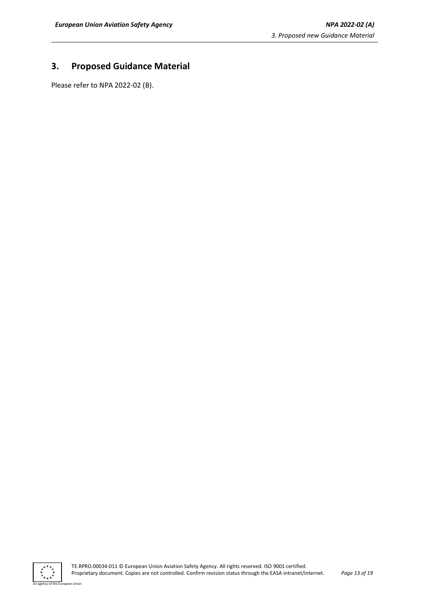### <span id="page-12-0"></span>**3. Proposed Guidance Material**

Please refer to NPA 2022-02 (B).



n Union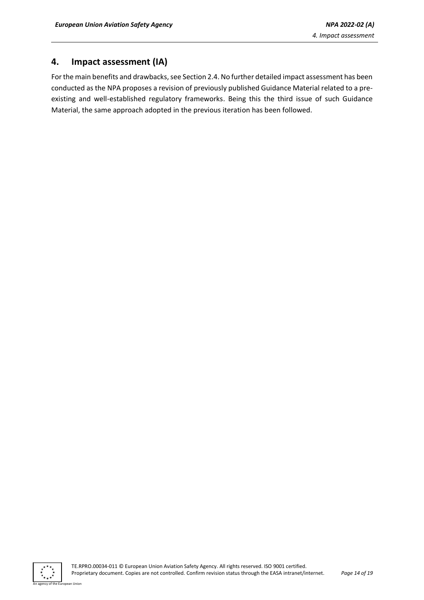### <span id="page-13-0"></span>**4. Impact assessment (IA)**

For the main benefits and drawbacks, see Section 2.4. No further detailed impact assessment has been conducted as the NPA proposes a revision of previously published Guidance Material related to a preexisting and well-established regulatory frameworks. Being this the third issue of such Guidance Material, the same approach adopted in the previous iteration has been followed.

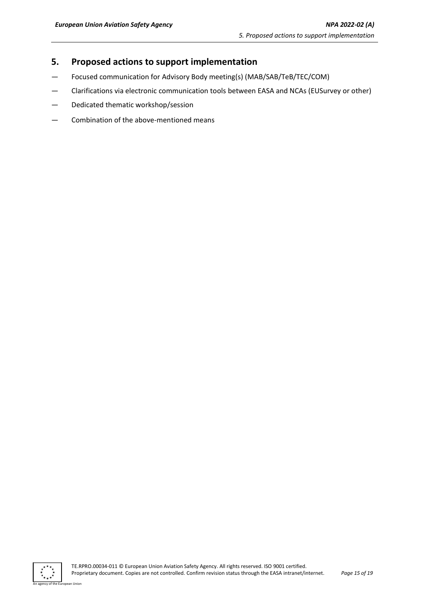### <span id="page-14-0"></span>**5. Proposed actions to support implementation**

- Focused communication for Advisory Body meeting(s) (MAB/SAB/TeB/TEC/COM)
- Clarifications via electronic communication tools between EASA and NCAs (EUSurvey or other)
- Dedicated thematic workshop/session
- Combination of the above-mentioned means



n Hoior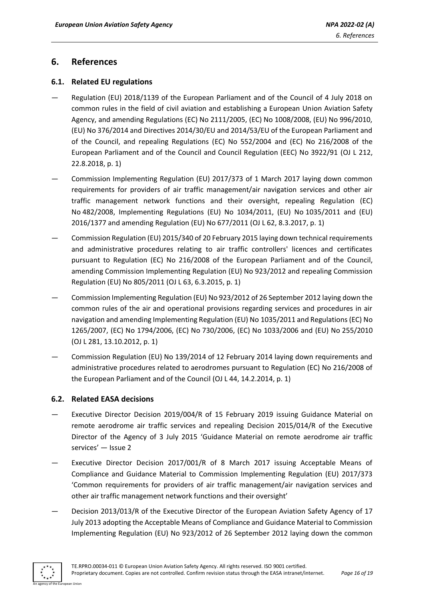### <span id="page-15-0"></span>**6. References**

#### <span id="page-15-1"></span>**6.1. Related EU regulations**

- [Regulation \(EU\) 2018/1139 of the European Parliament and of the Council of 4 July 2018 on](https://www.easa.europa.eu/document-library/regulations/regulation-eu-20181139)  [common rules in the field of civil aviation and establishing a European Union Aviation Safety](https://www.easa.europa.eu/document-library/regulations/regulation-eu-20181139)  [Agency, and amending Regulations \(EC\) No 2111/2005, \(EC\) No 1008/2008, \(EU\) No 996/2010,](https://www.easa.europa.eu/document-library/regulations/regulation-eu-20181139)  [\(EU\) No 376/2014 and Directives 2014/30/EU and 2014/53/EU of the European Parliament and](https://www.easa.europa.eu/document-library/regulations/regulation-eu-20181139)  [of the Council, and repealing Regulations \(EC\) No 552/2004](https://www.easa.europa.eu/document-library/regulations/regulation-eu-20181139) and (EC) No 216/2008 of the [European Parliament and of the Council and Council Regulation \(EEC\) No 3922/91](https://www.easa.europa.eu/document-library/regulations/regulation-eu-20181139) (OJ L 212, 22.8.2018, p. 1)
- [Commission Implementing Regulation \(EU\) 2017/373 of 1 March 2017 laying down common](https://www.easa.europa.eu/regulations#regulations-atmans----air-traffic-managementair-navigation-services)  [requirements for providers of air traffic management/air navigation services and other air](https://www.easa.europa.eu/regulations#regulations-atmans----air-traffic-managementair-navigation-services)  [traffic management network functions and their oversight, repealing Regulation \(EC\)](https://www.easa.europa.eu/regulations#regulations-atmans----air-traffic-managementair-navigation-services)  No [482/2008, Implementing Regulations \(EU\) No 1034/2011, \(EU\) No](https://www.easa.europa.eu/regulations#regulations-atmans----air-traffic-managementair-navigation-services) 1035/2011 and (EU) [2016/1377 and amending Regulation \(EU\) No 677/2011](https://www.easa.europa.eu/regulations#regulations-atmans----air-traffic-managementair-navigation-services) (OJ L 62, 8.3.2017, p. 1)
- [Commission Regulation \(EU\) 2015/340 of 20 February 2015 laying down technical requirements](https://www.easa.europa.eu/regulations#regulations-atco---air-traffic-controllers)  [and administrative procedures relating to air traffic controllers' licences and certificates](https://www.easa.europa.eu/regulations#regulations-atco---air-traffic-controllers)  [pursuant to Regulation \(EC\) No 216/2008 of the European Parliament and of the Council,](https://www.easa.europa.eu/regulations#regulations-atco---air-traffic-controllers)  [amending Commission Implementing Regulation \(EU\) No 923/2012 and repealing Commission](https://www.easa.europa.eu/regulations#regulations-atco---air-traffic-controllers)  [Regulation \(EU\) No 805/2011](https://www.easa.europa.eu/regulations#regulations-atco---air-traffic-controllers) (OJ L 63, 6.3.2015, p. 1)
- [Commission Implementing Regulation \(EU\) No 923/2012 of 26 September 2012 laying down the](https://www.easa.europa.eu/regulations#regulations-sera---standardised-european-rules-of-the-air)  [common rules of the air and operational provisions regarding services and procedures in air](https://www.easa.europa.eu/regulations#regulations-sera---standardised-european-rules-of-the-air)  [navigation and amending Implementing Regulation \(EU\) No](https://www.easa.europa.eu/regulations#regulations-sera---standardised-european-rules-of-the-air) 1035/2011 and Regulations (EC) No 1265/2007, (EC) No 1794/2006, (EC) No [730/2006, \(EC\) No 1033/2006 and \(EU\) No](https://www.easa.europa.eu/regulations#regulations-sera---standardised-european-rules-of-the-air) 255/2010 (OJ L 281, 13.10.2012, p. 1)
- [Commission Regulation \(EU\) No 139/2014 of 12 February 2014 laying down requirements and](https://www.easa.europa.eu/regulations#regulations-adr---aerodromes)  [administrative procedures related to aerodromes pursuant to Regulation \(EC\) No 216/2008 of](https://www.easa.europa.eu/regulations#regulations-adr---aerodromes)  [the European Parliament and of the Council](https://www.easa.europa.eu/regulations#regulations-adr---aerodromes) (OJ L 44, 14.2.2014, p. 1)

#### <span id="page-15-2"></span>**6.2. Related EASA decisions**

- [Executive Director Decision 2019/004/R of 15 February 2019](https://www.easa.europa.eu/document-library/agency-decisions/ed-decision-2015014r) issuing Guidance Material on [remote aerodrome air traffic services and repealing Decision 2015/014/R of the Executive](https://www.easa.europa.eu/document-library/agency-decisions/ed-decision-2015014r)  [Director of the Agency of 3 July 2015](https://www.easa.europa.eu/document-library/agency-decisions/ed-decision-2015014r) 'Guidance Material on remote aerodrome air traffic services' — Issue 2
- [Executive Director Decision 2017/001/R of 8 March 2017 issuing Acceptable Means of](https://www.easa.europa.eu/document-library/agency-decisions/ed-decision-2017001r)  [Compliance and Guidance Material to Commission Implementing Regulation \(EU\) 2017/373](https://www.easa.europa.eu/document-library/agency-decisions/ed-decision-2017001r) 'Common requirements for providers of air traffic management/air navigation services and other air traffic management network functions and their oversight'
- [Decision 2013/013/R of the Executive Director of the European Aviation Safety Agency of 17](https://www.easa.europa.eu/regulations#regulations-sera---standardised-european-rules-of-the-air)  [July 2013](https://www.easa.europa.eu/regulations#regulations-sera---standardised-european-rules-of-the-air) adopting the Acceptable Means of Compliance and Guidance Material to Commission Implementing Regulation (EU) No 923/2012 of 26 September 2012 laying down the common

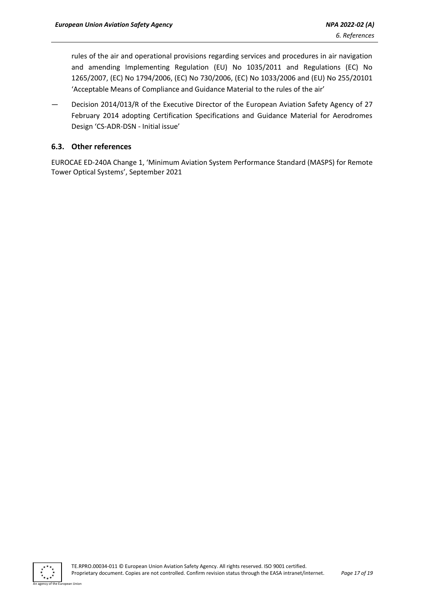rules of the air and operational provisions regarding services and procedures in air navigation and amending Implementing Regulation (EU) No 1035/2011 and Regulations (EC) No 1265/2007, (EC) No 1794/2006, (EC) No 730/2006, (EC) No 1033/2006 and (EU) No 255/20101 'Acceptable Means of Compliance and Guidance Material to the rules of the air'

— [Decision 2014/013/R of the Executive Director of the European Aviation Safety Agency of 2](https://www.easa.europa.eu/regulations#regulations-adr---aerodromes)7 February 2014 adopting Certification Specifications and Guidance Material for Aerodromes Design 'CS-ADR-DSN - Initial issue'

### <span id="page-16-0"></span>**6.3. Other references**

EUROCAE ED-240A Change 1, 'Minimum Aviation System Performance Standard (MASPS) for Remote Tower Optical Systems', September 2021

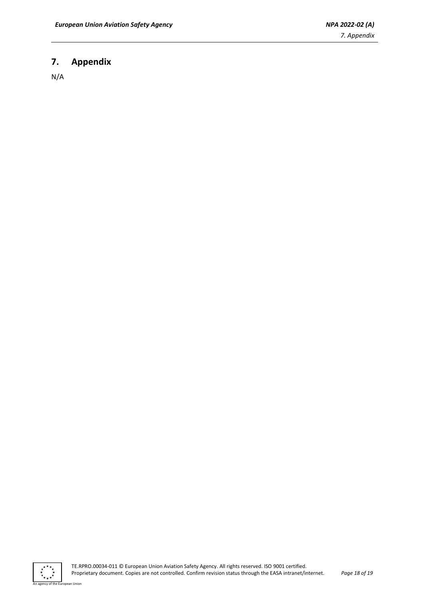## <span id="page-17-0"></span>**7. Appendix**

N/A